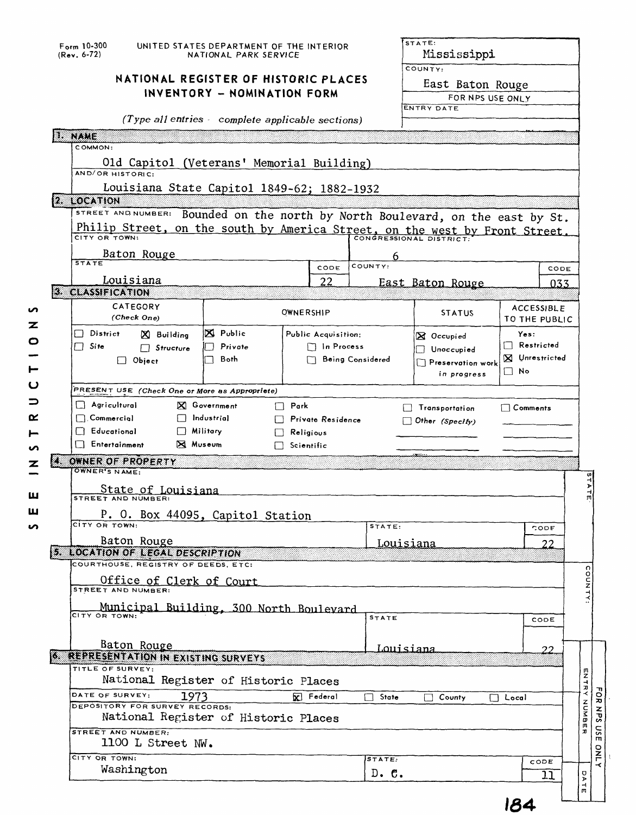| Form 10-300<br>$(Rev. 6-72)$                                                   | UNITED STATES DEPARTMENT OF THE INTERIOR<br>NATIONAL PARK SERVICE |                                          | STATE:<br>Mississippi |                      |                                    |      |  |
|--------------------------------------------------------------------------------|-------------------------------------------------------------------|------------------------------------------|-----------------------|----------------------|------------------------------------|------|--|
|                                                                                | NATIONAL REGISTER OF HISTORIC PLACES                              |                                          | COUNTY:               |                      |                                    |      |  |
|                                                                                |                                                                   |                                          | East Baton Rouge      |                      |                                    |      |  |
|                                                                                | INVENTORY - NOMINATION FORM                                       |                                          |                       | FOR NPS USE ONLY     |                                    |      |  |
|                                                                                |                                                                   |                                          |                       | <b>ENTRY DATE</b>    |                                    |      |  |
|                                                                                | (Type all entries complete applicable sections)                   |                                          |                       |                      |                                    |      |  |
| NWE                                                                            |                                                                   |                                          |                       |                      |                                    |      |  |
| COMMON:                                                                        |                                                                   |                                          |                       |                      |                                    |      |  |
| Old Capitol (Veterans' Memorial Building)                                      |                                                                   |                                          |                       |                      |                                    |      |  |
| AND/OR HISTORIC:                                                               |                                                                   |                                          |                       |                      |                                    |      |  |
| Louisiana State Capitol 1849-62; 1882-1932                                     |                                                                   |                                          |                       |                      |                                    |      |  |
| 2. LOCATION                                                                    |                                                                   |                                          |                       |                      |                                    |      |  |
| STREET AND NUMBER: Bounded on the north by North Boulevard, on the east by St. |                                                                   |                                          |                       |                      |                                    |      |  |
| Philip Street, on the south by America Street, on the west by Front Street.    |                                                                   |                                          |                       |                      |                                    |      |  |
|                                                                                |                                                                   |                                          |                       |                      |                                    |      |  |
| Baton Rouge<br><b>STATE</b>                                                    |                                                                   | CODE                                     | 6<br>COUNTY:          |                      |                                    |      |  |
|                                                                                |                                                                   |                                          |                       |                      |                                    | CODE |  |
| Louisiana<br>3. CLASSIFICATION                                                 |                                                                   | 22                                       |                       | East Baton Rouge     |                                    | 033. |  |
| CATEGORY                                                                       |                                                                   |                                          |                       |                      |                                    |      |  |
| (Check One)                                                                    |                                                                   | OWNERSHIP                                |                       | <b>STATUS</b>        | <b>ACCESSIBLE</b><br>TO THE PUBLIC |      |  |
| $\Box$ District                                                                | $\boxtimes$ Public                                                |                                          |                       |                      |                                    |      |  |
| X Building<br>$\Box$ Site                                                      | Private                                                           | Public Acquisition:<br>$\Box$ In Process |                       | $\boxtimes$ Occupied | Yes:<br>$\Box$ Restricted          |      |  |
| $\Box$ Structure                                                               | Both                                                              | Being Considered                         |                       | Unoccupied           | <b>X</b> Unrestricted              |      |  |
| $\Box$ Object                                                                  |                                                                   |                                          |                       | Preservation work    | $\Box$ No                          |      |  |
|                                                                                |                                                                   |                                          |                       | in progress          |                                    |      |  |
| PRESENT USE (Check One or More as Appropriete)                                 |                                                                   |                                          |                       |                      |                                    |      |  |
|                                                                                |                                                                   |                                          |                       |                      |                                    |      |  |
| $\Box$ Agricultural                                                            | X Government                                                      | $\Box$ Park                              | ΙI                    | Transportation       | $\Box$ Comments                    |      |  |
| $\Box$ Commercial                                                              | $\Box$ Industrial                                                 | Private Residence                        |                       | Other (Specify)      |                                    |      |  |
| <b>Educational</b>                                                             | $\Box$ Military                                                   | Religious                                |                       |                      |                                    |      |  |
| Entertainment                                                                  | <b>X</b> Museum                                                   | Scientific                               |                       |                      |                                    |      |  |
| 4. OWNER OF PROPERTY                                                           |                                                                   |                                          |                       |                      |                                    |      |  |
| OWNER'S NAME:                                                                  |                                                                   |                                          |                       |                      |                                    |      |  |
|                                                                                |                                                                   |                                          |                       |                      |                                    |      |  |
| State of Louisiana                                                             |                                                                   |                                          |                       |                      |                                    |      |  |
|                                                                                |                                                                   |                                          |                       |                      |                                    |      |  |
| P. O. Box 44095, Capitol Station<br>CITY OR TOWN:                              |                                                                   |                                          | STATE:                |                      | CODE                               |      |  |
| Baton Rouge                                                                    |                                                                   |                                          |                       |                      |                                    |      |  |
| <b>5. LOCATION OF LEGAL DESCRIPTION</b>                                        |                                                                   |                                          | <u>Louisiana</u>      |                      |                                    | 22   |  |
| COURTHOUSE, REGISTRY OF DEEDS, ETC:                                            |                                                                   |                                          |                       |                      |                                    |      |  |
| <u>Office of Clerk of Court</u>                                                |                                                                   |                                          |                       |                      |                                    |      |  |
| STREET AND NUMBER:                                                             |                                                                   |                                          |                       |                      |                                    |      |  |
| Municipal Building, 300 North Boulevard                                        |                                                                   |                                          |                       |                      |                                    |      |  |
| CITY OR TOWN:                                                                  |                                                                   |                                          | <b>STATE</b>          |                      | CODE                               |      |  |
|                                                                                |                                                                   |                                          |                       |                      |                                    |      |  |
| Baton Rouge                                                                    |                                                                   |                                          | Louisiana             |                      |                                    | 22   |  |
| <b>6 REPRESENTATION IN EXISTING SURVEYS</b>                                    |                                                                   |                                          |                       |                      |                                    |      |  |
| TITLE OF SURVEY:                                                               |                                                                   |                                          |                       |                      |                                    |      |  |
| National Register of Historic Places                                           |                                                                   |                                          |                       |                      |                                    |      |  |
| DATE OF SURVEY:<br>1973                                                        |                                                                   | <b>V</b> Federal                         | State<br>П            | County               | $\Box$ Local                       |      |  |
| DEPOSITORY FOR SURVEY RECORDS:                                                 |                                                                   |                                          |                       |                      |                                    |      |  |
| National Register of Historic Places                                           |                                                                   |                                          |                       |                      |                                    |      |  |
| STREET AND NUMBER:                                                             |                                                                   |                                          |                       |                      |                                    |      |  |
| 1100 L Street NW.                                                              |                                                                   |                                          |                       |                      |                                    |      |  |
| CITY OR TOWN:<br>Washington                                                    |                                                                   |                                          | STATE:<br>$D.$ $C.$   |                      | CODE                               | 11   |  |

**154**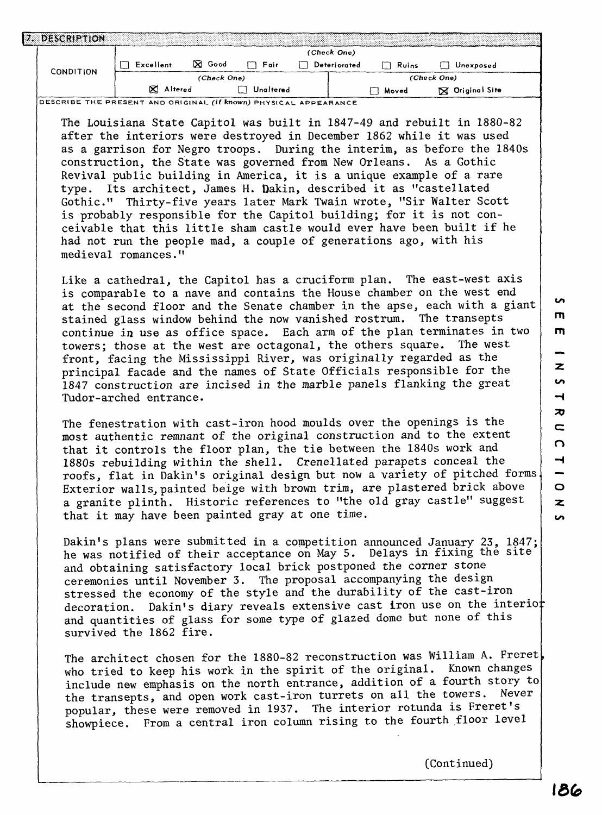|  | DESCRIPTION      |              |               |             |  |              |       |                        |  |
|--|------------------|--------------|---------------|-------------|--|--------------|-------|------------------------|--|
|  |                  | (Check One)  |               |             |  |              |       |                        |  |
|  | <b>CONDITION</b> | Excellent    | <b>X</b> Good | Fair<br>l 1 |  | Deteriorated | Ruins | Unexposed              |  |
|  |                  |              | (Check One)   |             |  |              |       | (Check One)            |  |
|  |                  | Altered<br>∞ |               | Unaltered   |  |              | Moved | <b>X</b> Original Site |  |

**DESCRIBE THE PRESENT AND ORIGINAL (if known) PHYSICAL APPEARANCE**

The Louisiana State Capitol was built in 1847-49 and rebuilt in 1880-82 after the interiors were destroyed in December 1862 while it was used as a garrison for Negro troops. During the interim, as before the 1840s construction, the State was governed from New Orleans. As a Gothic Revival public building in America, it is a unique example of a rare type. Its architect, James H. Dakin, described it as "castellated Gothic." Thirty-five years later Mark Twain wrote, "Sir Walter Scott is probably responsible for the Capitol building; for it is not conceivable that this little sham castle would ever have been built if he had not run the people mad, a couple of generations ago, with his medieval romances."

Like a cathedral, the Capitol has a cruciform plan. The east-west axis is comparable to a nave and contains the House chamber on the west end at the second floor and the Senate chamber in the apse, each with a giant stained glass window behind the now vanished rostrum. The transepts continue in use as office space. Each arm of the plan terminates in two towers; those at the west are octagonal, the others square. The west front, facing the Mississippi River, was originally regarded as the principal facade and the names of State Officials responsible for the 1847 construction are incised in the marble panels flanking the great Tudor-arched entrance.

The fenestration with cast-iron hood moulds over the openings is the most authentic remnant of the original construction and to the extent that it controls the floor plan, the tie between the 1840s work and 1880s rebuilding within the shell. Crenellated parapets conceal the roofs, flat in Dakin's original design but now a variety of pitched forms. Exterior walls, painted beige with brown trim, are plastered brick above a granite plinth. Historic references to "the old gray castle" suggest that it may have been painted gray at one time.

Dakin's plans were submitted in a competition announced January 23, 1847; he was notified of their acceptance on May 5. Delays in fixing the site and obtaining satisfactory local brick postponed the corner stone ceremonies until November 3. The proposal accompanying the design stressed the economy of the style and the durability of the cast-iron decoration. Dakin's diary reveals extensive cast iron use on the interior and quantities of glass for some type of glazed dome but none of this survived the 1862 fire.

The architect chosen for the 1880-82 reconstruction was William A. Freret<br>who tried to keen his work in the spirit of the original. Known changes who tried to keep his work in the spirit of the original. include new emphasis on the north entrance, addition of a fourth story to<br>the transports, and onen work cast-iron turrets on all the towers. Never the transepts, and open work cast-iron turrets on all the towers. popular, these were removed in 1937. The interior rotunda is Freret's showpiece. From a central iron column rising to the fourth floor level

**Un** 

(Continued)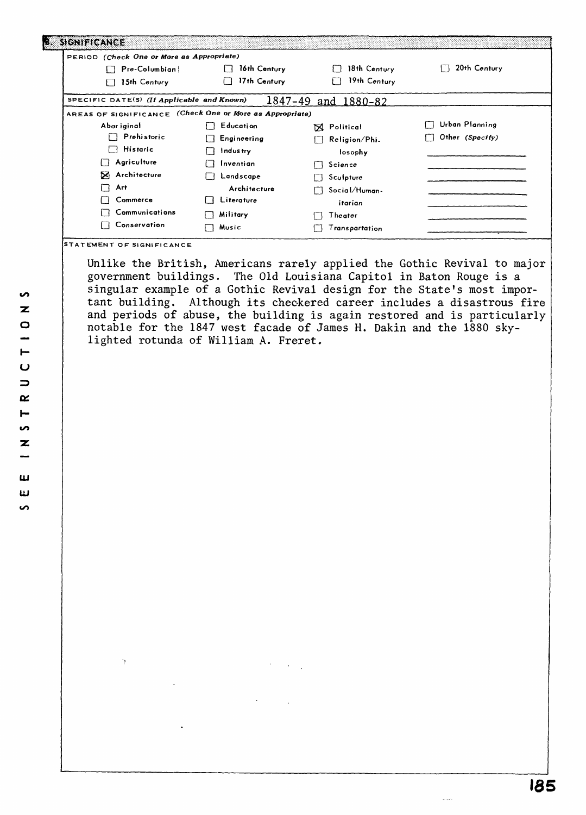| PERIOD (Check One or More as Appropriate)                |                |                     |                 |
|----------------------------------------------------------|----------------|---------------------|-----------------|
| Pre-Columbian                                            | 16th Century   | 18th Century        | 20th Century    |
| 15th Century<br>∣ ∤                                      | 17th Century   | 19th Century        |                 |
| SPECIFIC DATE(S) (If Applicable and Known)               |                | 1847-49 and 1880-82 |                 |
| AREAS OF SIGNIFICANCE (Check One or More as Appropriate) |                |                     |                 |
| Abor iginal                                              | Education      | <b>SA</b> Political | Urban Planning  |
| $\Box$ Prehistoric                                       | Engineering    | Religion/Phi.       | Other (Specify) |
| $\Box$ Historic                                          | Industry       | losophy             |                 |
| Agriculture<br>IП.                                       | Inventian<br>Ħ | Science             |                 |
| ⊠<br>Architecture                                        | Landscape      | Sculpture           |                 |
| П<br>Art                                                 | Architecture   | Social/Human-       |                 |
| Commerce                                                 | Literature     | itarian             |                 |
| Communications                                           | Military       | Theater             |                 |
| Conservation<br>ΙI                                       | Music          | Transpartation      |                 |

Unlike the British, Americans rarely applied the Gothic Revival to major government buildings. The Old Louisiana Capitol in Baton Rouge is a singular example of a Gothic Revival design for the State's most important building. Although its checkered career includes a disastrous fire and periods of abuse, the building is again restored and is particularly  $\mid$ notable for the 1847 west facade of James H. Dakin and the 1880 skylighted rotunda of William A. Freret.

S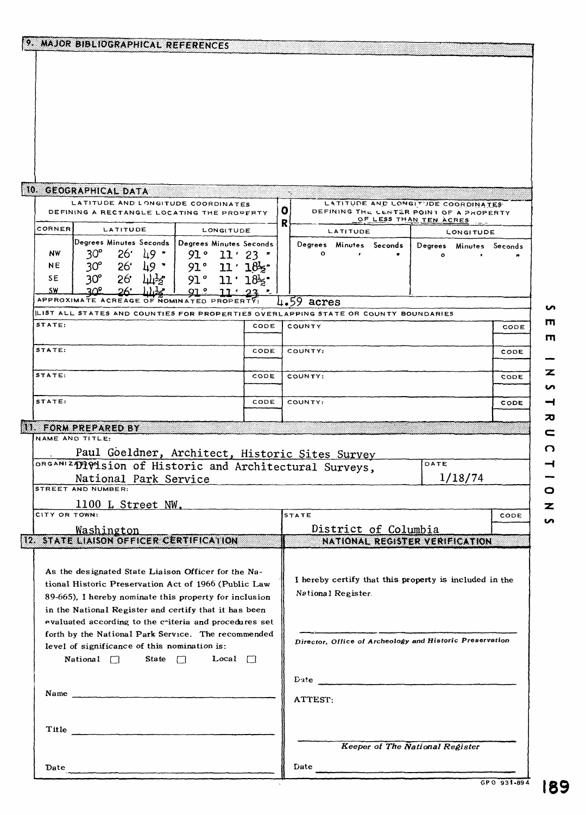|               | 9. MAJOR BIBLIOGRAPHICAL REFERENCES                                                                 |             |                         |           |                                                          |                                                        |              |          |                                                                               |         |                  |                 |
|---------------|-----------------------------------------------------------------------------------------------------|-------------|-------------------------|-----------|----------------------------------------------------------|--------------------------------------------------------|--------------|----------|-------------------------------------------------------------------------------|---------|------------------|-----------------|
|               |                                                                                                     |             |                         |           |                                                          |                                                        |              |          |                                                                               |         |                  |                 |
|               |                                                                                                     |             |                         |           |                                                          |                                                        |              |          |                                                                               |         |                  |                 |
|               |                                                                                                     |             |                         |           |                                                          |                                                        |              |          |                                                                               |         |                  |                 |
|               |                                                                                                     |             |                         |           |                                                          |                                                        |              |          |                                                                               |         |                  |                 |
|               |                                                                                                     |             |                         |           |                                                          |                                                        |              |          |                                                                               |         |                  |                 |
|               |                                                                                                     |             |                         |           |                                                          |                                                        |              |          |                                                                               |         |                  |                 |
|               |                                                                                                     |             |                         |           |                                                          |                                                        |              |          |                                                                               |         |                  |                 |
|               |                                                                                                     |             |                         |           |                                                          |                                                        |              |          |                                                                               |         |                  |                 |
|               | 10. GEOGRAPHICAL DATA                                                                               |             |                         |           |                                                          |                                                        |              |          |                                                                               |         |                  |                 |
|               | LATITUDE AND LONGITUDE COORDINATES<br>DEFINING A RECTANGLE LOCATING THE PROPERTY                    |             |                         |           |                                                          | O                                                      |              |          | LATITUDE AND LONGITUDE COORDINATES<br>DEFINING THE CENTER POINT OF A PROPERTY |         |                  |                 |
| <b>CORNER</b> | LATITUDE                                                                                            |             |                         | LONGITUDE |                                                          | R                                                      |              | LATITUDE | OF LESS THAN TEN ACRES                                                        |         |                  |                 |
|               | Degrees Minutes Seconds                                                                             |             | Degrees Minutes Seconds |           |                                                          |                                                        |              |          | Degrees Minutes Seconds                                                       | Degrees | <b>LONGITUDE</b> | Minutes Seconds |
| NW            | $30^{\circ}$<br>$26^{\circ}$                                                                        | ⊥9 *        | 91 °                    | $11'$ 23  |                                                          |                                                        | ۰            |          |                                                                               |         |                  |                 |
| NE            | 26'<br>$30^{\circ}$                                                                                 | 49 *        | 91°                     |           | 11 : 185                                                 |                                                        |              |          |                                                                               |         |                  |                 |
| SE<br>S₩      | $30^\circ$<br>26.<br>ત્ર∩ક                                                                          | <u> ሆነቻ</u> | 91°                     |           | $11 \cdot 18$ $\cdot$                                    |                                                        |              |          |                                                                               |         |                  |                 |
|               | APPROXIMATE ACREAGE OF NOMINATED PROPERTY                                                           |             |                         |           |                                                          |                                                        | $4.59$ acres |          |                                                                               |         |                  |                 |
|               | LIST ALL STATES AND COUNTIES FOR PROPERTIES OVERLAPPING STATE OR COUNTY BOUNDARIES                  |             |                         |           |                                                          |                                                        |              |          |                                                                               |         |                  |                 |
| STATE:        |                                                                                                     |             |                         |           | CODE                                                     |                                                        | COUNTY       |          |                                                                               |         |                  | CODE            |
| STATE:        |                                                                                                     |             |                         |           | CODE                                                     |                                                        | COUNTY:      |          |                                                                               |         |                  | CODE            |
|               |                                                                                                     |             |                         |           |                                                          |                                                        |              |          |                                                                               |         |                  |                 |
| STATE:        |                                                                                                     |             |                         |           | CODE                                                     |                                                        | COUNTY:      |          |                                                                               |         |                  | CODE            |
| STATE:        |                                                                                                     |             |                         |           | CODE                                                     |                                                        | COUNTY:      |          |                                                                               |         |                  |                 |
|               |                                                                                                     |             |                         |           |                                                          |                                                        |              |          |                                                                               |         |                  | CODE            |
|               | 11. FORM PREPARED BY                                                                                |             |                         |           |                                                          |                                                        |              |          |                                                                               |         |                  |                 |
|               | NAME AND TITLE:                                                                                     |             |                         |           |                                                          |                                                        |              |          |                                                                               |         |                  |                 |
|               | Paul Goeldner, Architect, Historic Sites Survey                                                     |             |                         |           |                                                          |                                                        |              |          |                                                                               | DATE    |                  |                 |
|               | ORGANIZDIVISION Of Historic and Architectural Surveys,<br>National Park Service                     |             |                         |           |                                                          |                                                        |              |          |                                                                               |         | 1/18/74          |                 |
|               | STREET AND NUMBER:                                                                                  |             |                         |           |                                                          |                                                        |              |          |                                                                               |         |                  |                 |
|               | 1100 L Street NW.                                                                                   |             |                         |           |                                                          |                                                        |              |          |                                                                               |         |                  |                 |
| CITY OR TOWN: |                                                                                                     |             |                         |           |                                                          | <b>STATE</b>                                           |              |          |                                                                               |         |                  | CODE            |
|               | <u>Washington</u><br>12 STATE LIAISON OFFICER CERTIFICATION                                         |             |                         |           |                                                          | District of Columbia<br>NATIONAL REGISTER VERIFICATION |              |          |                                                                               |         |                  |                 |
|               |                                                                                                     |             |                         |           |                                                          |                                                        |              |          |                                                                               |         |                  |                 |
|               | As the designated State Liaison Officer for the Na-                                                 |             |                         |           |                                                          |                                                        |              |          |                                                                               |         |                  |                 |
|               | tional Historic Preservation Act of 1966 (Public Law                                                |             |                         |           |                                                          | I hereby certify that this property is included in the |              |          |                                                                               |         |                  |                 |
|               | 89-665), I hereby nominate this property for inclusion                                              |             |                         |           |                                                          | National Register.                                     |              |          |                                                                               |         |                  |                 |
|               | in the National Register and certify that it has been                                               |             |                         |           |                                                          |                                                        |              |          |                                                                               |         |                  |                 |
|               | evaluated according to the criteria and procedures set                                              |             |                         |           |                                                          |                                                        |              |          |                                                                               |         |                  |                 |
|               | forth by the National Park Service. The recommended<br>level of significance of this nomination is: |             |                         |           | Director, Office of Archeology and Historic Preservation |                                                        |              |          |                                                                               |         |                  |                 |
|               | National $\Box$<br>State $\Box$<br>Local $\Box$                                                     |             |                         |           |                                                          |                                                        |              |          |                                                                               |         |                  |                 |
|               |                                                                                                     |             |                         |           |                                                          |                                                        |              |          |                                                                               |         |                  |                 |
|               | Name                                                                                                |             |                         |           |                                                          |                                                        |              |          |                                                                               |         |                  |                 |
|               |                                                                                                     |             |                         |           |                                                          |                                                        | ATTEST:      |          |                                                                               |         |                  |                 |
|               |                                                                                                     |             |                         |           |                                                          |                                                        |              |          |                                                                               |         |                  |                 |
|               | Title                                                                                               |             |                         |           |                                                          |                                                        |              |          |                                                                               |         |                  |                 |
|               |                                                                                                     |             |                         |           |                                                          |                                                        |              |          | Keeper of The National Register                                               |         |                  |                 |
| Date          |                                                                                                     |             |                         |           |                                                          | Date                                                   |              |          |                                                                               |         |                  |                 |
|               |                                                                                                     |             |                         |           |                                                          |                                                        |              |          |                                                                               |         |                  |                 |

m --Z n  $\rightarrow$  $\overline{\bm{v}}$  $\epsilon$  $\Omega$ I I O N S

m

S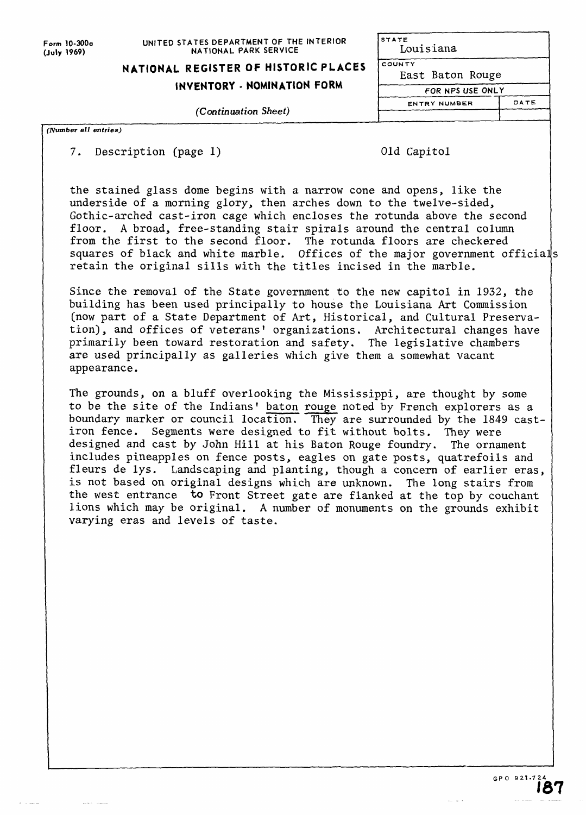**Form 10-300o (July 1969)**

### **UNITED STATES DEPARTMENT OF THE INTERIOR NATIONAL PARK SERVICE**

**STATE**

# **NATIONAL REGISTER OF HISTORIC PLACES**

## **INVENTORY - NOMINATION FORM**

(Continuation Sheet)

| STATE               |      |
|---------------------|------|
| Louisiana           |      |
| COUNTY              |      |
| East Baton Rouge    |      |
| FOR NPS USE ONLY    |      |
| <b>ENTRY NUMBER</b> | DATE |
|                     |      |
|                     |      |

#### *Number all entries)*

### 7. Description (page 1)

|  | Old Capitol |  |  |
|--|-------------|--|--|
|  |             |  |  |

the stained glass dome begins with a narrow cone and opens, like the underside of a morning glory, then arches down to the twelve-sided, Gothic-arched cast-iron cage which encloses the rotunda above the second floor. A broad, free-standing stair spirals around the central column from the first to the second floor. The rotunda floors are checkered squares of black and white marble. Offices of the major government officials retain the original sills with the titles incised in the marble.

Since the removal of the State government to the new capitol in 1932, the building has been used principally to house the Louisiana Art Commission (now part of a State Department of Art, Historical, and Cultural Preservation), and offices of veterans' organizations. Architectural changes have primarily been toward restoration and safety. The legislative chambers are used principally as galleries which give them a somewhat vacant appearance.

The grounds, on a bluff overlooking the Mississippi, are thought by some to be the site of the Indians' baton rouge noted by French explorers as a boundary marker or council location. They are surrounded by the 1849 castiron fence. Segments were designed to fit without bolts. They were designed and cast by John Hill at his Baton Rouge foundry. The ornament includes pineapples on fence posts, eagles on gate posts, quatrefoils and fleurs de lys. Landscaping and planting, though a concern of earlier eras, is not based on original designs which are unknown. The long stairs from the west entrance to Front Street gate are flanked at the top by couchant lions which may be original. A number of monuments on the grounds exhibit varying eras and levels of taste.